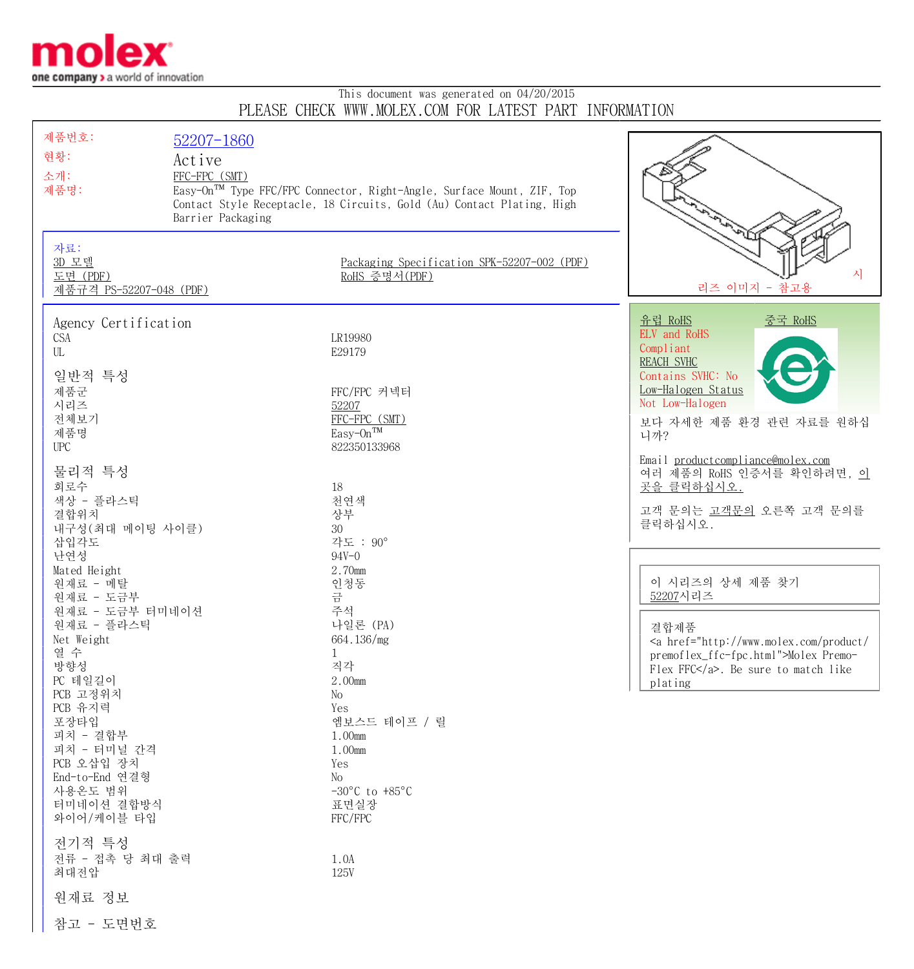

## This document was generated on 04/20/2015 PLEASE CHECK WWW.MOLEX.COM FOR LATEST PART INFORMATION

| 제품번호:<br>현황:<br>소개:<br>제품명:<br>자료:<br>3D 모델<br>도면 (PDF)<br>제품규격 PS-52207-048 (PDF)                                                                                                                                                                                                                                                                                                                                                                                      | 52207-1860<br>Active<br>FFC-FPC (SMT)<br>Barrier Packaging | Easy-On <sup>TM</sup> Type FFC/FPC Connector, Right-Angle, Surface Mount, ZIF, Top<br>Contact Style Receptacle, 18 Circuits, Gold (Au) Contact Plating, High<br>Packaging Specification SPK-52207-002 (PDF)<br>RoHS 증명서(PDF)                                                                                                                                            | 시<br>리즈 이미지 - 참고용                                                                                                                                                                                                                                                                                                                                                                                                                                                                   |
|-------------------------------------------------------------------------------------------------------------------------------------------------------------------------------------------------------------------------------------------------------------------------------------------------------------------------------------------------------------------------------------------------------------------------------------------------------------------------|------------------------------------------------------------|-------------------------------------------------------------------------------------------------------------------------------------------------------------------------------------------------------------------------------------------------------------------------------------------------------------------------------------------------------------------------|-------------------------------------------------------------------------------------------------------------------------------------------------------------------------------------------------------------------------------------------------------------------------------------------------------------------------------------------------------------------------------------------------------------------------------------------------------------------------------------|
| Agency Certification<br><b>CSA</b><br>UL<br>일반적 특성<br>제품군<br>시리즈<br>전체보기<br>제품명<br><b>UPC</b><br>물리적 특성<br>회로수<br>색상 - 플라스틱<br>결합위치<br>내구성 (최대 메이팅 사이클)<br>삽입각도<br>난연성<br>Mated Height<br>원재료 - 메탈<br>원재료 - 도금부<br>원재료 - 도금부 터미네이션<br>원재료 - 플라스틱<br>Net Weight<br>열 수<br>방향성<br>PC 테일길이<br>PCB 고정위치<br>PCB 유지력<br>포장타입<br>피치 - 결합부<br>피치 - 터미널 간격<br>PCB 오삽입 장치<br>End-to-End 연결형<br>사용온도 범위<br>터미네이션 결합방식<br>와이어/케이블 타입<br>전기적 특성<br>전류 - 접촉 당 최대 출력<br>최대전압<br>원재료 정보 |                                                            | LR19980<br>E29179<br>FFC/FPC 커넥터<br>52207<br>FFC-FPC (SMT)<br>Easy-On <sup>TM</sup><br>822350133968<br>18<br>천연색<br>상부<br>30<br>각도 : 90°<br>$94V - 0$<br>2.70mm<br>인청동<br>금<br>주석<br>나일론 (PA)<br>664.136/mg<br>1<br>직각<br>2.00mm<br>No<br>Yes<br>엠보스드 테이프 / 릴<br>1.00mm<br>1.00mm<br>Yes<br>No<br>$-30^{\circ}$ C to $+85^{\circ}$ C<br>표면실장<br>FFC/FPC<br>1.0A<br>125V | 유럽 RoHS<br><u>중국 RoHS</u><br>ELV and RoHS<br>Compliant<br><b>REACH SVHC</b><br>Contains SVHC: No<br>Low-Halogen Status<br>Not Low-Halogen<br>보다 자세한 제품 환경 관련 자료를 원하십<br>니까?<br>Email productcompliance@molex.com<br>여러 제품의 RoHS 인증서를 확인하려면, 이<br>곳을 클릭하십시오.<br>고객 문의는 고객문의 오른쪽 고객 문의를<br>클릭하십시오.<br>이 시리즈의 상세 제품 찾기<br>52207시리즈<br>결합제품<br><a href="http://www.molex.com/product/&lt;br&gt;premoflex_ffc-fpc.html">Molex Premo-<br/>Flex FFC</a> . Be sure to match like<br>plating |

참고 - 도면번호